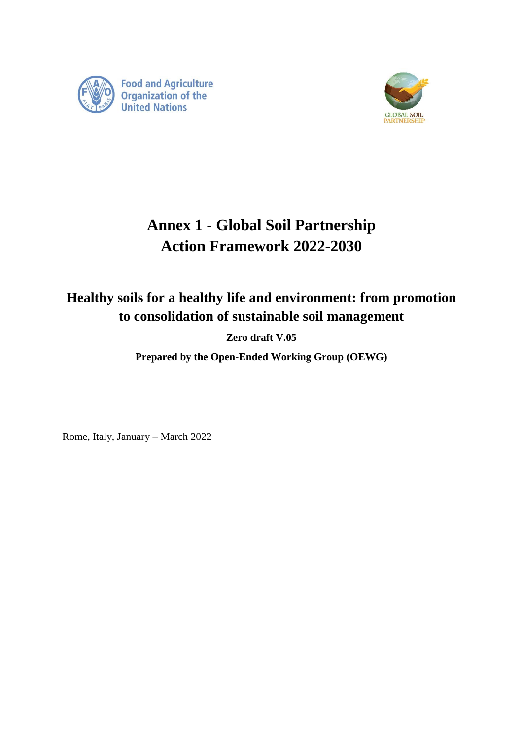



# **Annex 1 - Global Soil Partnership Action Framework 2022-2030**

# **Healthy soils for a healthy life and environment: from promotion to consolidation of sustainable soil management**

**Zero draft V.05**

**Prepared by the Open-Ended Working Group (OEWG)**

Rome, Italy, January – March 2022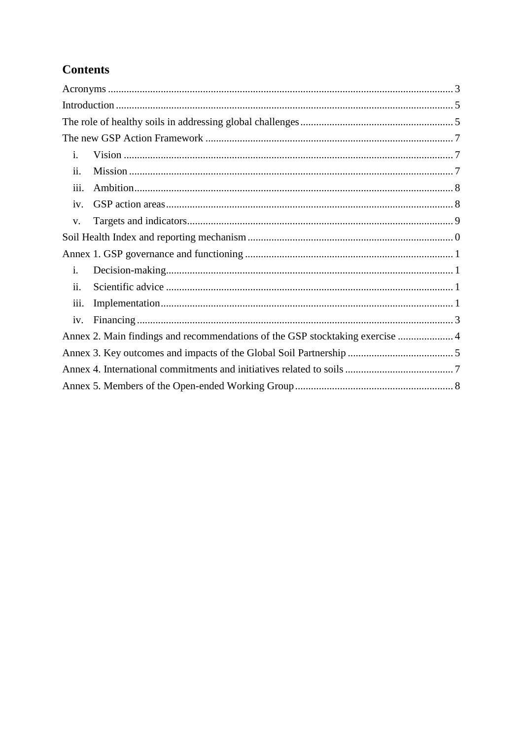# **Contents**

| i.                 |                                                                               |  |
|--------------------|-------------------------------------------------------------------------------|--|
| ii.                |                                                                               |  |
| iii.               |                                                                               |  |
| iv.                |                                                                               |  |
| V.                 |                                                                               |  |
|                    |                                                                               |  |
|                    |                                                                               |  |
| i.                 |                                                                               |  |
| ii.                |                                                                               |  |
| $\overline{111}$ . |                                                                               |  |
| iv.                |                                                                               |  |
|                    | Annex 2. Main findings and recommendations of the GSP stocktaking exercise  4 |  |
|                    |                                                                               |  |
|                    |                                                                               |  |
|                    |                                                                               |  |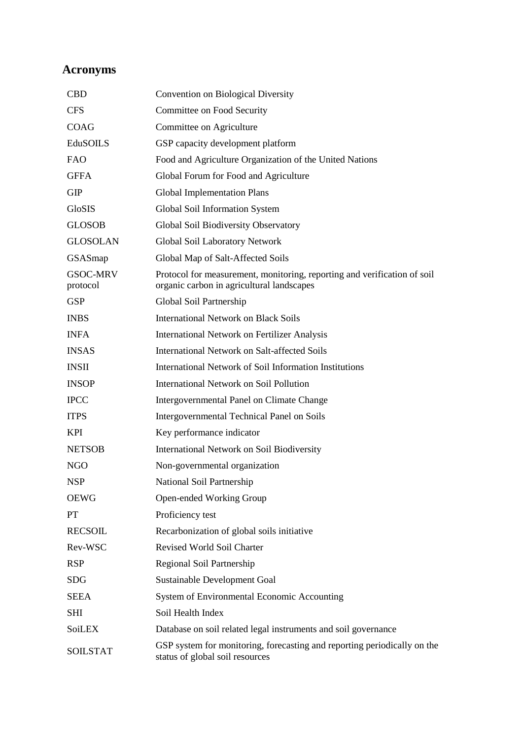# <span id="page-2-0"></span>**Acronyms**

| <b>CBD</b>                  | Convention on Biological Diversity                                                                                    |
|-----------------------------|-----------------------------------------------------------------------------------------------------------------------|
| <b>CFS</b>                  | Committee on Food Security                                                                                            |
| <b>COAG</b>                 | Committee on Agriculture                                                                                              |
| EduSOILS                    | GSP capacity development platform                                                                                     |
| <b>FAO</b>                  | Food and Agriculture Organization of the United Nations                                                               |
| <b>GFFA</b>                 | Global Forum for Food and Agriculture                                                                                 |
| <b>GIP</b>                  | <b>Global Implementation Plans</b>                                                                                    |
| GloSIS                      | Global Soil Information System                                                                                        |
| <b>GLOSOB</b>               | Global Soil Biodiversity Observatory                                                                                  |
| <b>GLOSOLAN</b>             | Global Soil Laboratory Network                                                                                        |
| GSASmap                     | Global Map of Salt-Affected Soils                                                                                     |
| <b>GSOC-MRV</b><br>protocol | Protocol for measurement, monitoring, reporting and verification of soil<br>organic carbon in agricultural landscapes |
| <b>GSP</b>                  | Global Soil Partnership                                                                                               |
| <b>INBS</b>                 | <b>International Network on Black Soils</b>                                                                           |
| <b>INFA</b>                 | <b>International Network on Fertilizer Analysis</b>                                                                   |
| <b>INSAS</b>                | International Network on Salt-affected Soils                                                                          |
| <b>INSII</b>                | International Network of Soil Information Institutions                                                                |
| <b>INSOP</b>                | <b>International Network on Soil Pollution</b>                                                                        |
| <b>IPCC</b>                 | Intergovernmental Panel on Climate Change                                                                             |
| <b>ITPS</b>                 | Intergovernmental Technical Panel on Soils                                                                            |
| <b>KPI</b>                  | Key performance indicator                                                                                             |
| <b>NETSOB</b>               | International Network on Soil Biodiversity                                                                            |
| <b>NGO</b>                  | Non-governmental organization                                                                                         |
| <b>NSP</b>                  | National Soil Partnership                                                                                             |
| <b>OEWG</b>                 | Open-ended Working Group                                                                                              |
| PT                          | Proficiency test                                                                                                      |
| <b>RECSOIL</b>              | Recarbonization of global soils initiative                                                                            |
| Rev-WSC                     | <b>Revised World Soil Charter</b>                                                                                     |
| <b>RSP</b>                  | Regional Soil Partnership                                                                                             |
| <b>SDG</b>                  | Sustainable Development Goal                                                                                          |
| <b>SEEA</b>                 | System of Environmental Economic Accounting                                                                           |
| <b>SHI</b>                  | Soil Health Index                                                                                                     |
| <b>SoiLEX</b>               | Database on soil related legal instruments and soil governance                                                        |
| <b>SOILSTAT</b>             | GSP system for monitoring, forecasting and reporting periodically on the<br>status of global soil resources           |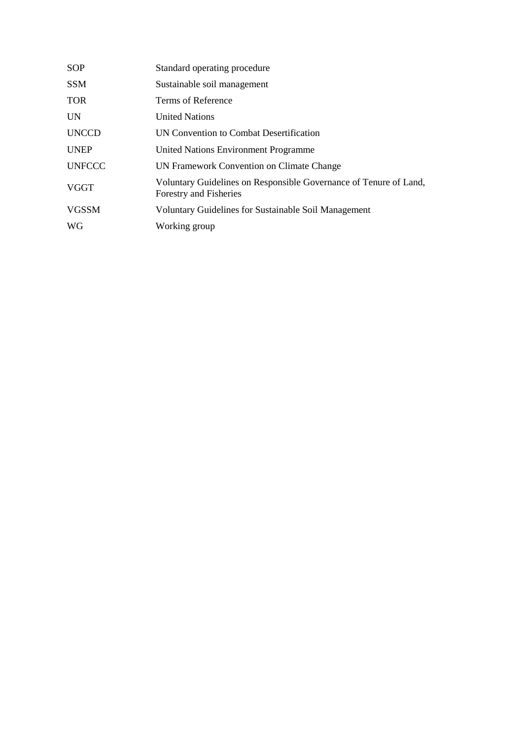| Standard operating procedure                                                                |
|---------------------------------------------------------------------------------------------|
| Sustainable soil management                                                                 |
| Terms of Reference                                                                          |
| <b>United Nations</b>                                                                       |
| UN Convention to Combat Desertification                                                     |
| United Nations Environment Programme                                                        |
| UN Framework Convention on Climate Change                                                   |
| Voluntary Guidelines on Responsible Governance of Tenure of Land,<br>Forestry and Fisheries |
| <b>Voluntary Guidelines for Sustainable Soil Management</b>                                 |
| Working group                                                                               |
|                                                                                             |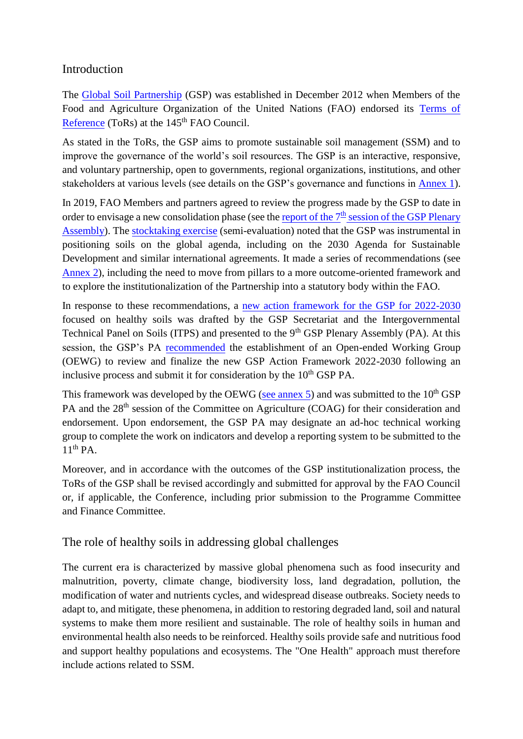## <span id="page-4-0"></span>Introduction

The Global Soil [Partnership](https://www.fao.org/global-soil-partnership/about/why-the-partnership/en/) (GSP) was established in December 2012 when Members of the Food and Agriculture Organization of the United Nations (FAO) endorsed its [Terms](https://www.fao.org/3/a-az891e.pdf) of [Reference](https://www.fao.org/3/a-az891e.pdf) (ToRs) at the 145<sup>th</sup> FAO Council.

As stated in the ToRs, the GSP aims to promote sustainable soil management (SSM) and to improve the governance of the world's soil resources. The GSP is an interactive, responsive, and voluntary partnership, open to governments, regional organizations, institutions, and other stakeholders at various levels (see details on the GSP's governance and functions in **Annex 1**).

In 2019, FAO Members and partners agreed to review the progress made by the GSP to date in order to envisage a new consolidation phase (see the report of the  $7<sup>th</sup>$  session of the GSP Plenary [Assembly\)](https://www.fao.org/3/ca5983en/ca5983en.pdf). Th[e stocktaking exercise](https://www.fao.org/fileadmin/user_upload/GSP/eighth_PA/GSPPA_VIII_2020_2.pdf) (semi-evaluation) noted that the GSP was instrumental in positioning soils on the global agenda, including on the 2030 Agenda for Sustainable Development and similar international agreements. It made a series of recommendations (see [Annex 2\)](https://unfao.sharepoint.com/sites/NSL/GSP/Plenary_Assembly/010_Plenary_Assembly_X/001_Document/ODG_cleared/GSPPA_X_2022_2.docx#annex1_an2), including the need to move from pillars to a more outcome-oriented framework and to explore the institutionalization of the Partnership into a statutory body within the FAO.

In response to these recommendations, a new action [framework](https://www.fao.org/3/cb6566en/cb6566en.pdf) for the GSP for 2022-2030 focused on healthy soils was drafted by the GSP Secretariat and the Intergovernmental Technical Panel on Soils (ITPS) and presented to the 9<sup>th</sup> GSP Plenary Assembly (PA). At this session, the GSP's PA [recommended](https://www.fao.org/3/cb7375en/cb7375en.pdf) the establishment of an Open-ended Working Group (OEWG) to review and finalize the new GSP Action Framework 2022-2030 following an inclusive process and submit it for consideration by the  $10<sup>th</sup> GSP PA$ .

This framework was developed by the OEWG [\(see annex 5\)](https://unfao.sharepoint.com/sites/NSL/GSP/Plenary_Assembly/010_Plenary_Assembly_X/001_Document/ODG_cleared/GSPPA_X_2022_2.docx#annex1_an5) and was submitted to the  $10<sup>th</sup> GSP$ PA and the 28<sup>th</sup> session of the Committee on Agriculture (COAG) for their consideration and endorsement. Upon endorsement, the GSP PA may designate an ad-hoc technical working group to complete the work on indicators and develop a reporting system to be submitted to the  $11<sup>th</sup> PA$ .

Moreover, and in accordance with the outcomes of the GSP institutionalization process, the ToRs of the GSP shall be revised accordingly and submitted for approval by the FAO Council or, if applicable, the Conference, including prior submission to the Programme Committee and Finance Committee.

# <span id="page-4-1"></span>The role of healthy soils in addressing global challenges

The current era is characterized by massive global phenomena such as food insecurity and malnutrition, poverty, climate change, biodiversity loss, land degradation, pollution, the modification of water and nutrients cycles, and widespread disease outbreaks. Society needs to adapt to, and mitigate, these phenomena, in addition to restoring degraded land, soil and natural systems to make them more resilient and sustainable. The role of healthy soils in human and environmental health also needs to be reinforced. Healthy soils provide safe and nutritious food and support healthy populations and ecosystems. The "One Health" approach must therefore include actions related to SSM.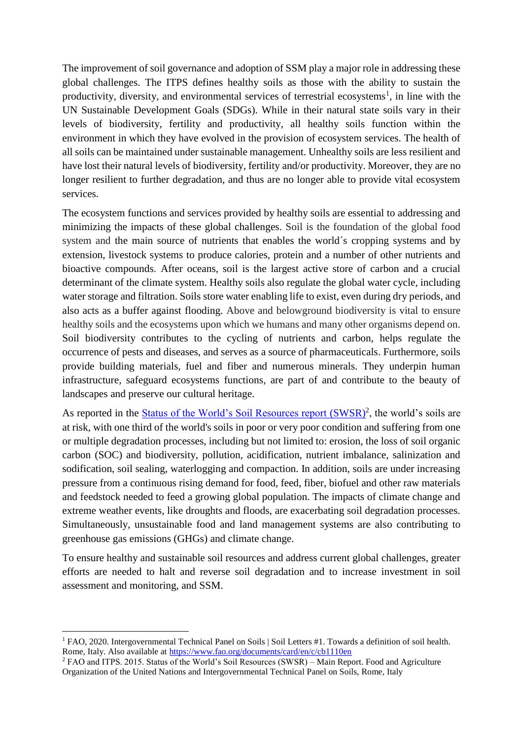The improvement of soil governance and adoption of SSM play a major role in addressing these global challenges. The ITPS defines healthy soils as those with the ability to sustain the productivity, diversity, and environmental services of terrestrial ecosystems<sup>1</sup>, in line with the UN Sustainable Development Goals (SDGs). While in their natural state soils vary in their levels of biodiversity, fertility and productivity, all healthy soils function within the environment in which they have evolved in the provision of ecosystem services. The health of all soils can be maintained under sustainable management. Unhealthy soils are less resilient and have lost their natural levels of biodiversity, fertility and/or productivity. Moreover, they are no longer resilient to further degradation, and thus are no longer able to provide vital ecosystem services.

The ecosystem functions and services provided by healthy soils are essential to addressing and minimizing the impacts of these global challenges. Soil is the foundation of the global food system and the main source of nutrients that enables the world´s cropping systems and by extension, livestock systems to produce calories, protein and a number of other nutrients and bioactive compounds. After oceans, soil is the largest active store of carbon and a crucial determinant of the climate system. Healthy soils also regulate the global water cycle, including water storage and filtration. Soils store water enabling life to exist, even during dry periods, and also acts as a buffer against flooding. Above and belowground biodiversity is vital to ensure healthy soils and the ecosystems upon which we humans and many other organisms depend on. Soil biodiversity contributes to the cycling of nutrients and carbon, helps regulate the occurrence of pests and diseases, and serves as a source of pharmaceuticals. Furthermore, soils provide building materials, fuel and fiber and numerous minerals. They underpin human infrastructure, safeguard ecosystems functions, are part of and contribute to the beauty of landscapes and preserve our cultural heritage.

As reported in the **Status of the World's Soil Resources report (SWSR)<sup>2</sup>, the world's soils are** at risk, with one third of the world's soils in poor or very poor condition and suffering from one or multiple degradation processes, including but not limited to: erosion, the loss of soil organic carbon (SOC) and biodiversity, pollution, acidification, nutrient imbalance, salinization and sodification, soil sealing, waterlogging and compaction. In addition, soils are under increasing pressure from a continuous rising demand for food, feed, fiber, biofuel and other raw materials and feedstock needed to feed a growing global population. The impacts of climate change and extreme weather events, like droughts and floods, are exacerbating soil degradation processes. Simultaneously, unsustainable food and land management systems are also contributing to greenhouse gas emissions (GHGs) and climate change.

To ensure healthy and sustainable soil resources and address current global challenges, greater efforts are needed to halt and reverse soil degradation and to increase investment in soil assessment and monitoring, and SSM.

 $\overline{a}$ 

<sup>&</sup>lt;sup>1</sup> FAO, 2020. Intergovernmental Technical Panel on Soils | Soil Letters #1. Towards a definition of soil health. Rome, Italy. Also available at<https://www.fao.org/documents/card/en/c/cb1110en>

<sup>&</sup>lt;sup>2</sup> FAO and ITPS. 2015. Status of the World's Soil Resources (SWSR) – Main Report. Food and Agriculture Organization of the United Nations and Intergovernmental Technical Panel on Soils, Rome, Italy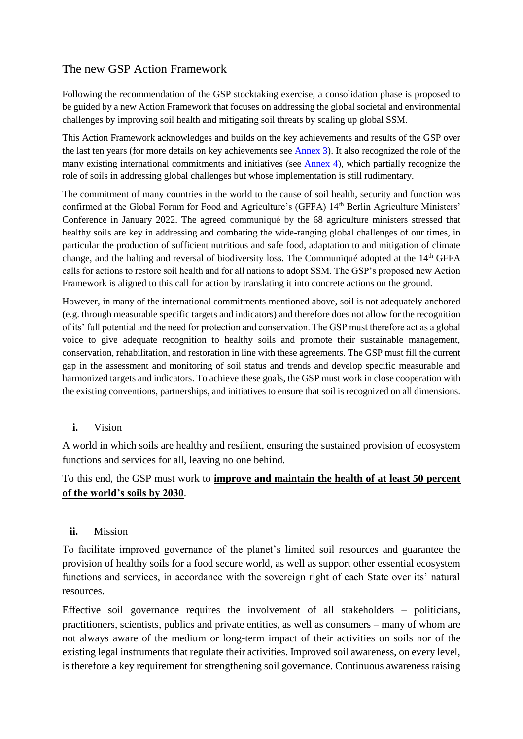# <span id="page-6-0"></span>The new GSP Action Framework

Following the recommendation of the GSP stocktaking exercise, a consolidation phase is proposed to be guided by a new Action Framework that focuses on addressing the global societal and environmental challenges by improving soil health and mitigating soil threats by scaling up global SSM.

This Action Framework acknowledges and builds on the key achievements and results of the GSP over the last ten years (for more details on key achievements see [Annex 3\)](https://unfao.sharepoint.com/sites/NSL/GSP/Plenary_Assembly/010_Plenary_Assembly_X/001_Document/ODG_cleared/GSPPA_X_2022_2.docx#annex1_an3). It also recognized the role of the many existing international commitments and initiatives (see **Annex 4**), which partially recognize the role of soils in addressing global challenges but whose implementation is still rudimentary.

The commitment of many countries in the world to the cause of soil health, security and function was confirmed at the Global Forum for Food and Agriculture's (GFFA) 14<sup>th</sup> Berlin Agriculture Ministers' Conference in January 2022. The agreed communiqué by the 68 agriculture ministers stressed that healthy soils are key in addressing and combating the wide-ranging global challenges of our times, in particular the production of sufficient nutritious and safe food, adaptation to and mitigation of climate change, and the halting and reversal of biodiversity loss. The Communiqué adopted at the  $14<sup>th</sup> GFA$ calls for actions to restore soil health and for all nations to adopt SSM. The GSP's proposed new Action Framework is aligned to this call for action by translating it into concrete actions on the ground.

However, in many of the international commitments mentioned above, soil is not adequately anchored (e.g. through measurable specific targets and indicators) and therefore does not allow for the recognition of its' full potential and the need for protection and conservation. The GSP must therefore act as a global voice to give adequate recognition to healthy soils and promote their sustainable management, conservation, rehabilitation, and restoration in line with these agreements. The GSP must fill the current gap in the assessment and monitoring of soil status and trends and develop specific measurable and harmonized targets and indicators. To achieve these goals, the GSP must work in close cooperation with the existing conventions, partnerships, and initiatives to ensure that soil is recognized on all dimensions.

<span id="page-6-1"></span>**i.** Vision

A world in which soils are healthy and resilient, ensuring the sustained provision of ecosystem functions and services for all, leaving no one behind.

#### To this end, the GSP must work to **improve and maintain the health of at least 50 percent of the world's soils by 2030**.

<span id="page-6-2"></span>**ii.** Mission

To facilitate improved governance of the planet's limited soil resources and guarantee the provision of healthy soils for a food secure world, as well as support other essential ecosystem functions and services, in accordance with the sovereign right of each State over its' natural resources.

Effective soil governance requires the involvement of all stakeholders – politicians, practitioners, scientists, publics and private entities, as well as consumers – many of whom are not always aware of the medium or long-term impact of their activities on soils nor of the existing legal instruments that regulate their activities. Improved soil awareness, on every level, is therefore a key requirement for strengthening soil governance. Continuous awareness raising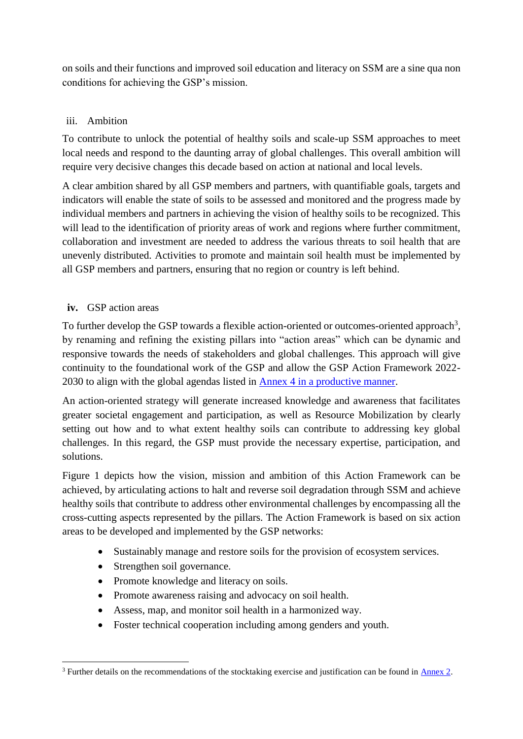on soils and their functions and improved soil education and literacy on SSM are a sine qua non conditions for achieving the GSP's mission.

#### <span id="page-7-0"></span>iii. Ambition

To contribute to unlock the potential of healthy soils and scale-up SSM approaches to meet local needs and respond to the daunting array of global challenges. This overall ambition will require very decisive changes this decade based on action at national and local levels.

A clear ambition shared by all GSP members and partners, with quantifiable goals, targets and indicators will enable the state of soils to be assessed and monitored and the progress made by individual members and partners in achieving the vision of healthy soils to be recognized. This will lead to the identification of priority areas of work and regions where further commitment, collaboration and investment are needed to address the various threats to soil health that are unevenly distributed. Activities to promote and maintain soil health must be implemented by all GSP members and partners, ensuring that no region or country is left behind.

#### <span id="page-7-1"></span>**iv.** GSP action areas

 $\overline{a}$ 

To further develop the GSP towards a flexible action-oriented or outcomes-oriented approach<sup>3</sup>, by renaming and refining the existing pillars into "action areas" which can be dynamic and responsive towards the needs of stakeholders and global challenges. This approach will give continuity to the foundational work of the GSP and allow the GSP Action Framework 2022- 2030 to align with the global agendas listed in [Annex 4 in a productive manner.](https://unfao.sharepoint.com/sites/NSL/GSP/Plenary_Assembly/010_Plenary_Assembly_X/001_Document/ODG_cleared/GSPPA_X_2022_2.docx#annex1_an4)

An action-oriented strategy will generate increased knowledge and awareness that facilitates greater societal engagement and participation, as well as Resource Mobilization by clearly setting out how and to what extent healthy soils can contribute to addressing key global challenges. In this regard, the GSP must provide the necessary expertise, participation, and solutions.

Figure 1 depicts how the vision, mission and ambition of this Action Framework can be achieved, by articulating actions to halt and reverse soil degradation through SSM and achieve healthy soils that contribute to address other environmental challenges by encompassing all the cross-cutting aspects represented by the pillars. The Action Framework is based on six action areas to be developed and implemented by the GSP networks:

- Sustainably manage and restore soils for the provision of ecosystem services.
- Strengthen soil governance.
- Promote knowledge and literacy on soils.
- Promote awareness raising and advocacy on soil health.
- Assess, map, and monitor soil health in a harmonized way.
- Foster technical cooperation including among genders and youth.

<sup>&</sup>lt;sup>3</sup> Further details on the recommendations of the stocktaking exercise and justification can be found in <u>Annex 2</u>.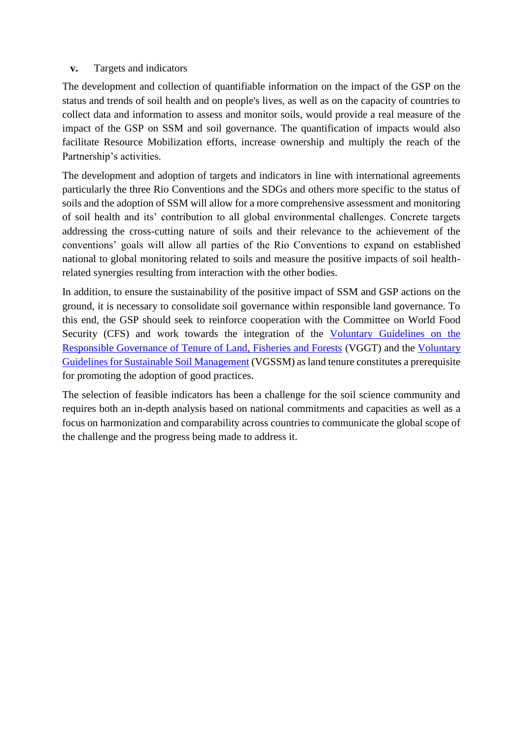#### <span id="page-8-0"></span>**v.** Targets and indicators

The development and collection of quantifiable information on the impact of the GSP on the status and trends of soil health and on people's lives, as well as on the capacity of countries to collect data and information to assess and monitor soils, would provide a real measure of the impact of the GSP on SSM and soil governance. The quantification of impacts would also facilitate Resource Mobilization efforts, increase ownership and multiply the reach of the Partnership's activities.

The development and adoption of targets and indicators in line with international agreements particularly the three Rio Conventions and the SDGs and others more specific to the status of soils and the adoption of SSM will allow for a more comprehensive assessment and monitoring of soil health and its' contribution to all global environmental challenges. Concrete targets addressing the cross-cutting nature of soils and their relevance to the achievement of the conventions' goals will allow all parties of the Rio Conventions to expand on established national to global monitoring related to soils and measure the positive impacts of soil healthrelated synergies resulting from interaction with the other bodies.

In addition, to ensure the sustainability of the positive impact of SSM and GSP actions on the ground, it is necessary to consolidate soil governance within responsible land governance. To this end, the GSP should seek to reinforce cooperation with the Committee on World Food Security (CFS) and work towards the integration of the [Voluntary Guidelines on the](https://www.fao.org/3/i2801e/i2801e.pdf)  [Responsible Governance of Tenure of Land, Fisheries and Forests](https://www.fao.org/3/i2801e/i2801e.pdf) (VGGT) and the [Voluntary](https://www.fao.org/3/bl813e/bl813e.pdf)  [Guidelines for Sustainable Soil Management](https://www.fao.org/3/bl813e/bl813e.pdf) (VGSSM) as land tenure constitutes a prerequisite for promoting the adoption of good practices.

The selection of feasible indicators has been a challenge for the soil science community and requires both an in-depth analysis based on national commitments and capacities as well as a focus on harmonization and comparability across countries to communicate the global scope of the challenge and the progress being made to address it.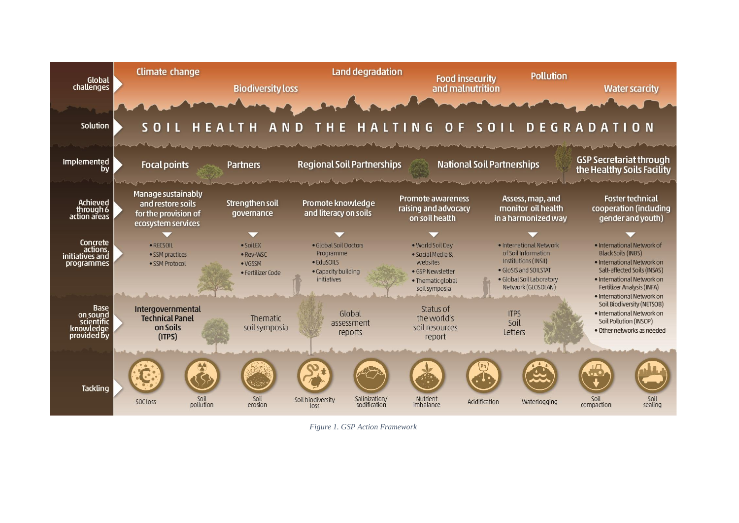

*Figure 1. GSP Action Framework*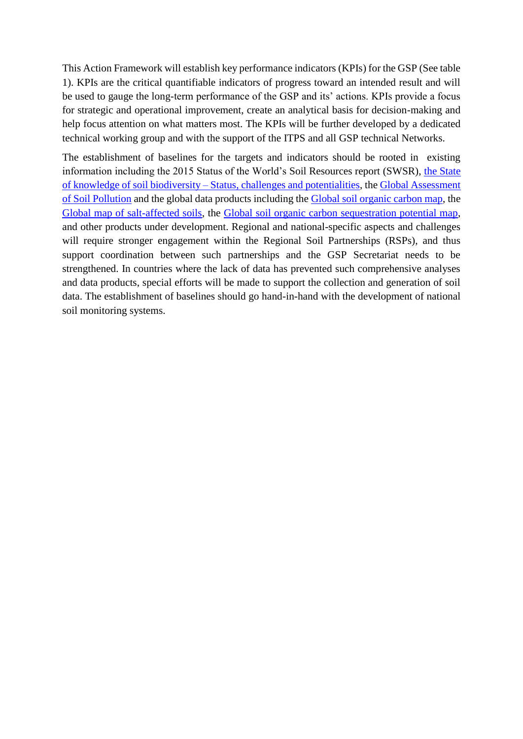This Action Framework will establish key performance indicators (KPIs) for the GSP (See table 1). KPIs are the critical quantifiable indicators of progress toward an intended result and will be used to gauge the long-term performance of the GSP and its' actions. KPIs provide a focus for strategic and operational improvement, create an analytical basis for decision-making and help focus attention on what matters most. The KPIs will be further developed by a dedicated technical working group and with the support of the ITPS and all GSP technical Networks.

The establishment of baselines for the targets and indicators should be rooted in existing information including the 2015 Status of the World's Soil Resources report (SWSR), [the State](https://www.fao.org/documents/card/en/c/CB1928EN/)  of knowledge of soil biodiversity – [Status, challenges and potentialities,](https://www.fao.org/documents/card/en/c/CB1928EN/) th[e Global Assessment](https://www.fao.org/documents/card/en/c/cb4894en/)  [of Soil Pollution](https://www.fao.org/documents/card/en/c/cb4894en/) and the global data products including the [Global soil organic carbon map,](http://54.229.242.119/GSOCmap/) the [Global map of salt-affected soils,](https://www.fao.org/soils-portal/soil-survey/soil-maps-and-databases/global-map-of-salt-affected-soils/zh/) the [Global soil organic carbon sequestration potential map,](https://www.fao.org/soils-portal/soil-survey/mapas-historicos-de-suelos-y-bases-de-datos/global-soil-organic-carbon-sequestration-potential-map-gsocseq/es/) and other products under development. Regional and national-specific aspects and challenges will require stronger engagement within the Regional Soil Partnerships (RSPs), and thus support coordination between such partnerships and the GSP Secretariat needs to be strengthened. In countries where the lack of data has prevented such comprehensive analyses and data products, special efforts will be made to support the collection and generation of soil data. The establishment of baselines should go hand-in-hand with the development of national soil monitoring systems.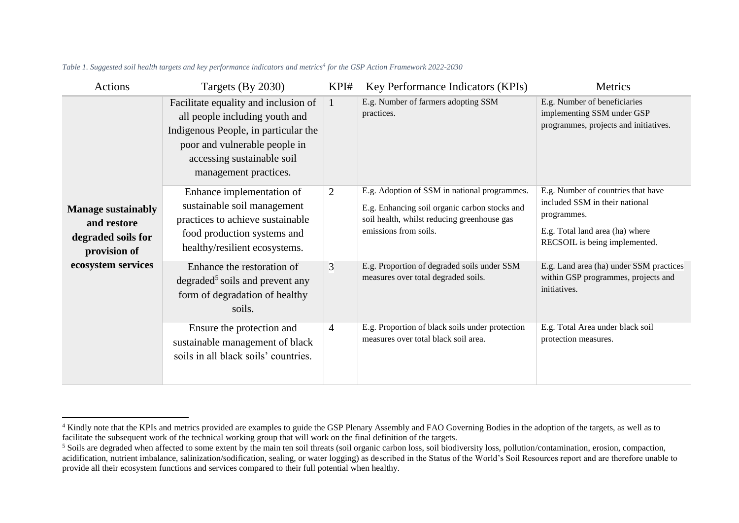| Actions                                                                        | Targets $(By 2030)$                                                                                                                                                                                    | KPI#           | Key Performance Indicators (KPIs)                                                                                                                                     | Metrics                                                                                                                                                 |
|--------------------------------------------------------------------------------|--------------------------------------------------------------------------------------------------------------------------------------------------------------------------------------------------------|----------------|-----------------------------------------------------------------------------------------------------------------------------------------------------------------------|---------------------------------------------------------------------------------------------------------------------------------------------------------|
|                                                                                | Facilitate equality and inclusion of<br>all people including youth and<br>Indigenous People, in particular the<br>poor and vulnerable people in<br>accessing sustainable soil<br>management practices. | 1              | E.g. Number of farmers adopting SSM<br>practices.                                                                                                                     | E.g. Number of beneficiaries<br>implementing SSM under GSP<br>programmes, projects and initiatives.                                                     |
| <b>Manage sustainably</b><br>and restore<br>degraded soils for<br>provision of | Enhance implementation of<br>sustainable soil management<br>practices to achieve sustainable<br>food production systems and<br>healthy/resilient ecosystems.                                           | 2              | E.g. Adoption of SSM in national programmes.<br>E.g. Enhancing soil organic carbon stocks and<br>soil health, whilst reducing greenhouse gas<br>emissions from soils. | E.g. Number of countries that have<br>included SSM in their national<br>programmes.<br>E.g. Total land area (ha) where<br>RECSOIL is being implemented. |
| ecosystem services                                                             | Enhance the restoration of<br>$degraded5$ soils and prevent any<br>form of degradation of healthy<br>soils.                                                                                            | 3              | E.g. Proportion of degraded soils under SSM<br>measures over total degraded soils.                                                                                    | E.g. Land area (ha) under SSM practices<br>within GSP programmes, projects and<br>initiatives.                                                          |
|                                                                                | Ensure the protection and<br>sustainable management of black<br>soils in all black soils' countries.                                                                                                   | $\overline{4}$ | E.g. Proportion of black soils under protection<br>measures over total black soil area.                                                                               | E.g. Total Area under black soil<br>protection measures.                                                                                                |

*Table 1. Suggested soil health targets and key performance indicators and metrics<sup>4</sup> for the GSP Action Framework 2022-2030*

<u>.</u>

<sup>&</sup>lt;sup>4</sup> Kindly note that the KPIs and metrics provided are examples to guide the GSP Plenary Assembly and FAO Governing Bodies in the adoption of the targets, as well as to facilitate the subsequent work of the technical working group that will work on the final definition of the targets.

<sup>&</sup>lt;sup>5</sup> Soils are degraded when affected to some extent by the main ten soil threats (soil organic carbon loss, soil biodiversity loss, pollution/contamination, erosion, compaction, acidification, nutrient imbalance, salinization/sodification, sealing, or water logging) as described in the Status of the World's Soil Resources report and are therefore unable to provide all their ecosystem functions and services compared to their full potential when healthy.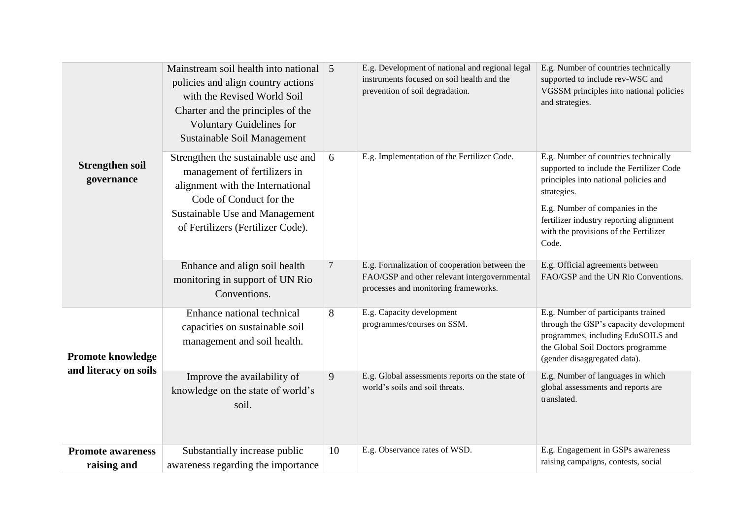|                                         | Mainstream soil health into national 5<br>policies and align country actions<br>with the Revised World Soil<br>Charter and the principles of the<br><b>Voluntary Guidelines for</b><br>Sustainable Soil Management |                | E.g. Development of national and regional legal<br>instruments focused on soil health and the<br>prevention of soil degradation.      | E.g. Number of countries technically<br>supported to include rev-WSC and<br>VGSSM principles into national policies<br>and strategies.                                                                                                                                   |
|-----------------------------------------|--------------------------------------------------------------------------------------------------------------------------------------------------------------------------------------------------------------------|----------------|---------------------------------------------------------------------------------------------------------------------------------------|--------------------------------------------------------------------------------------------------------------------------------------------------------------------------------------------------------------------------------------------------------------------------|
| <b>Strengthen soil</b><br>governance    | Strengthen the sustainable use and<br>management of fertilizers in<br>alignment with the International<br>Code of Conduct for the<br>Sustainable Use and Management<br>of Fertilizers (Fertilizer Code).           | 6              | E.g. Implementation of the Fertilizer Code.                                                                                           | E.g. Number of countries technically<br>supported to include the Fertilizer Code<br>principles into national policies and<br>strategies.<br>E.g. Number of companies in the<br>fertilizer industry reporting alignment<br>with the provisions of the Fertilizer<br>Code. |
|                                         | Enhance and align soil health<br>monitoring in support of UN Rio<br>Conventions.                                                                                                                                   | $\overline{7}$ | E.g. Formalization of cooperation between the<br>FAO/GSP and other relevant intergovernmental<br>processes and monitoring frameworks. | E.g. Official agreements between<br>FAO/GSP and the UN Rio Conventions.                                                                                                                                                                                                  |
| <b>Promote knowledge</b>                | Enhance national technical<br>capacities on sustainable soil<br>management and soil health.                                                                                                                        | 8              | E.g. Capacity development<br>programmes/courses on SSM.                                                                               | E.g. Number of participants trained<br>through the GSP's capacity development<br>programmes, including EduSOILS and<br>the Global Soil Doctors programme<br>(gender disaggregated data).                                                                                 |
| and literacy on soils                   | Improve the availability of<br>knowledge on the state of world's<br>soil.                                                                                                                                          | 9              | E.g. Global assessments reports on the state of<br>world's soils and soil threats.                                                    | E.g. Number of languages in which<br>global assessments and reports are<br>translated.                                                                                                                                                                                   |
| <b>Promote awareness</b><br>raising and | Substantially increase public<br>awareness regarding the importance                                                                                                                                                | 10             | E.g. Observance rates of WSD.                                                                                                         | E.g. Engagement in GSPs awareness<br>raising campaigns, contests, social                                                                                                                                                                                                 |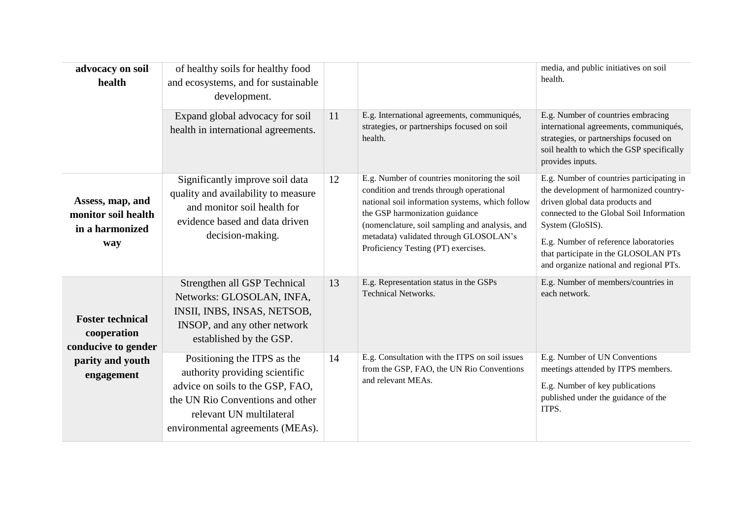| advocacy on soil<br>health                                        | of healthy soils for healthy food<br>and ecosystems, and for sustainable<br>development.                                                                                                              |    |                                                                                                                                                                                                                                                                                                                  | media, and public initiatives on soil<br>health.                                                                                                                                                                                                                                                                   |
|-------------------------------------------------------------------|-------------------------------------------------------------------------------------------------------------------------------------------------------------------------------------------------------|----|------------------------------------------------------------------------------------------------------------------------------------------------------------------------------------------------------------------------------------------------------------------------------------------------------------------|--------------------------------------------------------------------------------------------------------------------------------------------------------------------------------------------------------------------------------------------------------------------------------------------------------------------|
|                                                                   | Expand global advocacy for soil<br>health in international agreements.                                                                                                                                | 11 | E.g. International agreements, communiqués,<br>strategies, or partnerships focused on soil<br>health.                                                                                                                                                                                                            | E.g. Number of countries embracing<br>international agreements, communiqués,<br>strategies, or partnerships focused on<br>soil health to which the GSP specifically<br>provides inputs.                                                                                                                            |
| Assess, map, and<br>monitor soil health<br>in a harmonized<br>way | Significantly improve soil data<br>quality and availability to measure<br>and monitor soil health for<br>evidence based and data driven<br>decision-making.                                           | 12 | E.g. Number of countries monitoring the soil<br>condition and trends through operational<br>national soil information systems, which follow<br>the GSP harmonization guidance<br>(nomenclature, soil sampling and analysis, and<br>metadata) validated through GLOSOLAN's<br>Proficiency Testing (PT) exercises. | E.g. Number of countries participating in<br>the development of harmonized country-<br>driven global data products and<br>connected to the Global Soil Information<br>System (GloSIS).<br>E.g. Number of reference laboratories<br>that participate in the GLOSOLAN PTs<br>and organize national and regional PTs. |
| <b>Foster technical</b><br>cooperation<br>conducive to gender     | Strengthen all GSP Technical<br>Networks: GLOSOLAN, INFA,<br>INSII, INBS, INSAS, NETSOB,<br>INSOP, and any other network<br>established by the GSP.                                                   | 13 | E.g. Representation status in the GSPs<br><b>Technical Networks.</b>                                                                                                                                                                                                                                             | E.g. Number of members/countries in<br>each network.                                                                                                                                                                                                                                                               |
| parity and youth<br>engagement                                    | Positioning the ITPS as the<br>authority providing scientific<br>advice on soils to the GSP, FAO,<br>the UN Rio Conventions and other<br>relevant UN multilateral<br>environmental agreements (MEAs). | 14 | E.g. Consultation with the ITPS on soil issues<br>from the GSP, FAO, the UN Rio Conventions<br>and relevant MEAs.                                                                                                                                                                                                | E.g. Number of UN Conventions<br>meetings attended by ITPS members.<br>E.g. Number of key publications<br>published under the guidance of the<br>ITPS.                                                                                                                                                             |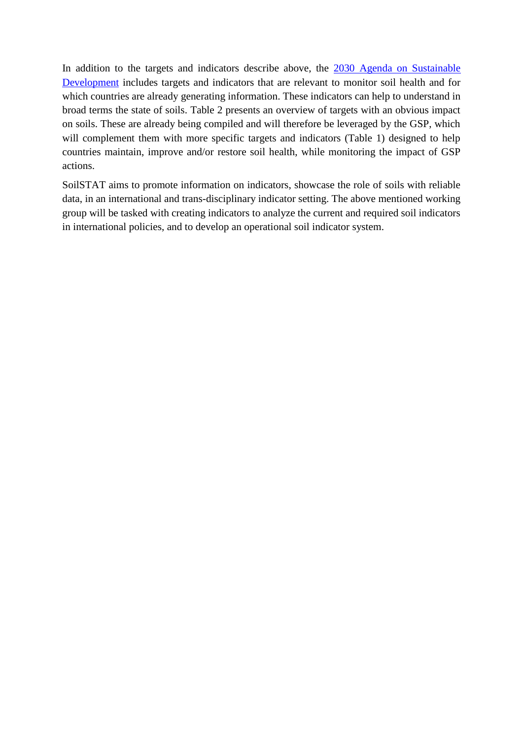In addition to the targets and indicators describe above, the [2030 Agenda on Sustainable](https://sdgs.un.org/goals)  [Development](https://sdgs.un.org/goals) includes targets and indicators that are relevant to monitor soil health and for which countries are already generating information. These indicators can help to understand in broad terms the state of soils. [Table 2](#page-15-0) presents an overview of targets with an obvious impact on soils. These are already being compiled and will therefore be leveraged by the GSP, which will complement them with more specific targets and indicators (Table 1) designed to help countries maintain, improve and/or restore soil health, while monitoring the impact of GSP actions.

SoilSTAT aims to promote information on indicators, showcase the role of soils with reliable data, in an international and trans-disciplinary indicator setting. The above mentioned working group will be tasked with creating indicators to analyze the current and required soil indicators in international policies, and to develop an operational soil indicator system.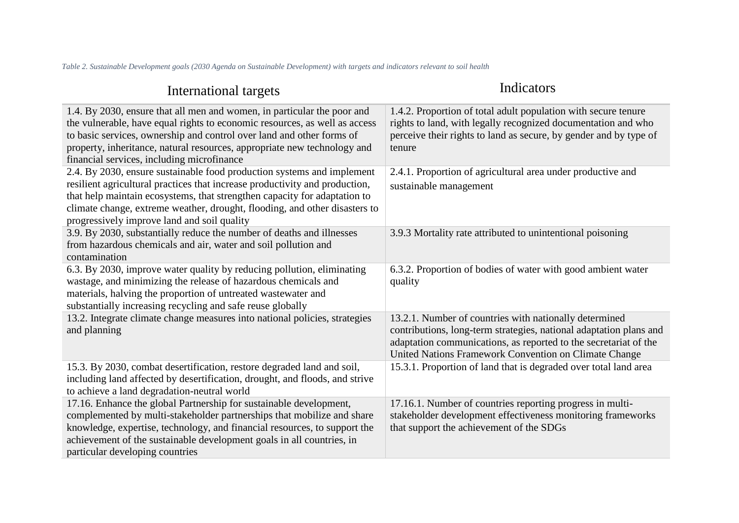*Table 2. Sustainable Development goals (2030 Agenda on Sustainable Development) with targets and indicators relevant to soil health*

<span id="page-15-0"></span>

| International targets                                                                                                                                                                                                                                                                                                                                           | Indicators                                                                                                                                                                                                                                                |
|-----------------------------------------------------------------------------------------------------------------------------------------------------------------------------------------------------------------------------------------------------------------------------------------------------------------------------------------------------------------|-----------------------------------------------------------------------------------------------------------------------------------------------------------------------------------------------------------------------------------------------------------|
| 1.4. By 2030, ensure that all men and women, in particular the poor and<br>the vulnerable, have equal rights to economic resources, as well as access<br>to basic services, ownership and control over land and other forms of<br>property, inheritance, natural resources, appropriate new technology and<br>financial services, including microfinance        | 1.4.2. Proportion of total adult population with secure tenure<br>rights to land, with legally recognized documentation and who<br>perceive their rights to land as secure, by gender and by type of<br>tenure                                            |
| 2.4. By 2030, ensure sustainable food production systems and implement<br>resilient agricultural practices that increase productivity and production,<br>that help maintain ecosystems, that strengthen capacity for adaptation to<br>climate change, extreme weather, drought, flooding, and other disasters to<br>progressively improve land and soil quality | 2.4.1. Proportion of agricultural area under productive and<br>sustainable management                                                                                                                                                                     |
| 3.9. By 2030, substantially reduce the number of deaths and illnesses<br>from hazardous chemicals and air, water and soil pollution and<br>contamination                                                                                                                                                                                                        | 3.9.3 Mortality rate attributed to unintentional poisoning                                                                                                                                                                                                |
| 6.3. By 2030, improve water quality by reducing pollution, eliminating<br>wastage, and minimizing the release of hazardous chemicals and<br>materials, halving the proportion of untreated wastewater and<br>substantially increasing recycling and safe reuse globally                                                                                         | 6.3.2. Proportion of bodies of water with good ambient water<br>quality                                                                                                                                                                                   |
| 13.2. Integrate climate change measures into national policies, strategies<br>and planning                                                                                                                                                                                                                                                                      | 13.2.1. Number of countries with nationally determined<br>contributions, long-term strategies, national adaptation plans and<br>adaptation communications, as reported to the secretariat of the<br>United Nations Framework Convention on Climate Change |
| 15.3. By 2030, combat desertification, restore degraded land and soil,<br>including land affected by desertification, drought, and floods, and strive<br>to achieve a land degradation-neutral world                                                                                                                                                            | 15.3.1. Proportion of land that is degraded over total land area                                                                                                                                                                                          |
| 17.16. Enhance the global Partnership for sustainable development,<br>complemented by multi-stakeholder partnerships that mobilize and share<br>knowledge, expertise, technology, and financial resources, to support the<br>achievement of the sustainable development goals in all countries, in<br>particular developing countries                           | 17.16.1. Number of countries reporting progress in multi-<br>stakeholder development effectiveness monitoring frameworks<br>that support the achievement of the SDGs                                                                                      |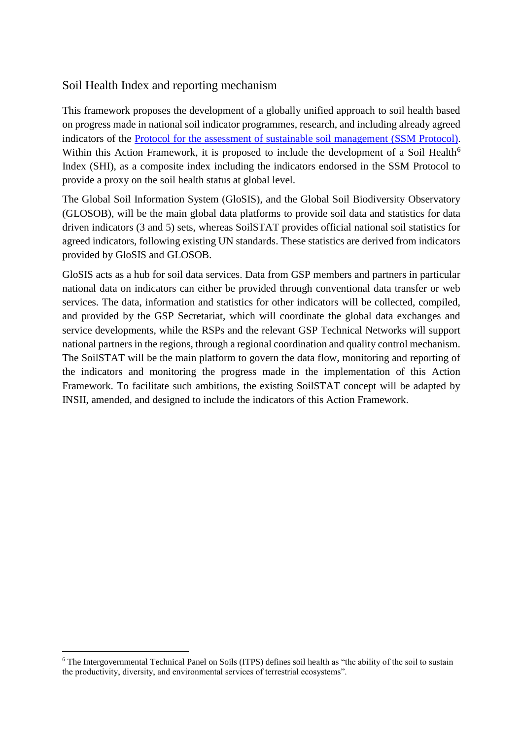## <span id="page-16-0"></span>Soil Health Index and reporting mechanism

This framework proposes the development of a globally unified approach to soil health based on progress made in national soil indicator programmes, research, and including already agreed indicators of the [Protocol for the assessment of sustainable soil management](https://www.fao.org/global-soil-partnership/resources/highlights/detail/en/c/1370578/) (SSM Protocol). Within this Action Framework, it is proposed to include the development of a Soil Health<sup>6</sup> Index (SHI), as a composite index including the indicators endorsed in the SSM Protocol to provide a proxy on the soil health status at global level.

The Global Soil Information System (GloSIS), and the Global Soil Biodiversity Observatory (GLOSOB), will be the main global data platforms to provide soil data and statistics for data driven indicators (3 and 5) sets, whereas SoilSTAT provides official national soil statistics for agreed indicators, following existing UN standards. These statistics are derived from indicators provided by GloSIS and GLOSOB.

GloSIS acts as a hub for soil data services. Data from GSP members and partners in particular national data on indicators can either be provided through conventional data transfer or web services. The data, information and statistics for other indicators will be collected, compiled, and provided by the GSP Secretariat, which will coordinate the global data exchanges and service developments, while the RSPs and the relevant GSP Technical Networks will support national partners in the regions, through a regional coordination and quality control mechanism. The SoilSTAT will be the main platform to govern the data flow, monitoring and reporting of the indicators and monitoring the progress made in the implementation of this Action Framework. To facilitate such ambitions, the existing SoilSTAT concept will be adapted by INSII, amended, and designed to include the indicators of this Action Framework.

 $\overline{a}$ 

<sup>6</sup> The Intergovernmental Technical Panel on Soils (ITPS) defines soil health as "the ability of the soil to sustain the productivity, diversity, and environmental services of terrestrial ecosystems".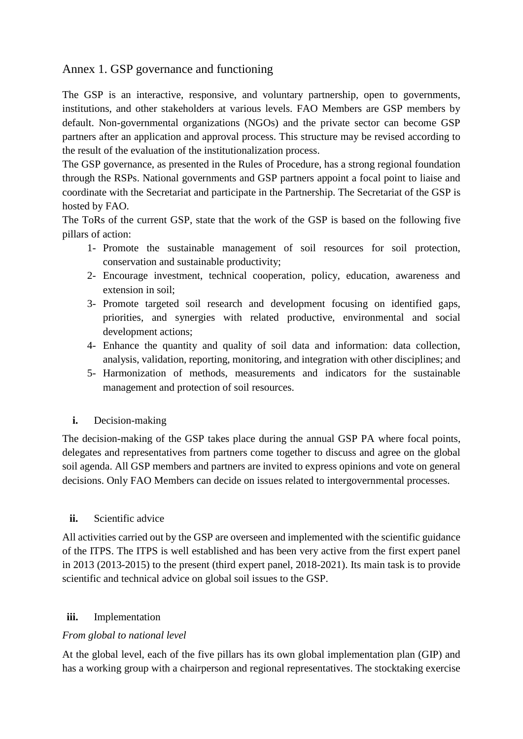# <span id="page-17-0"></span>Annex 1. GSP governance and functioning

The GSP is an interactive, responsive, and voluntary partnership, open to governments, institutions, and other stakeholders at various levels. FAO Members are GSP members by default. Non-governmental organizations (NGOs) and the private sector can become GSP partners after an application and approval process. This structure may be revised according to the result of the evaluation of the institutionalization process.

The GSP governance, as presented in the Rules of Procedure, has a strong regional foundation through the RSPs. National governments and GSP partners appoint a focal point to liaise and coordinate with the Secretariat and participate in the Partnership. The Secretariat of the GSP is hosted by FAO.

The ToRs of the current GSP, state that the work of the GSP is based on the following five pillars of action:

- 1- Promote the sustainable management of soil resources for soil protection, conservation and sustainable productivity;
- 2- Encourage investment, technical cooperation, policy, education, awareness and extension in soil;
- 3- Promote targeted soil research and development focusing on identified gaps, priorities, and synergies with related productive, environmental and social development actions;
- 4- Enhance the quantity and quality of soil data and information: data collection, analysis, validation, reporting, monitoring, and integration with other disciplines; and
- 5- Harmonization of methods, measurements and indicators for the sustainable management and protection of soil resources.
- <span id="page-17-1"></span>**i.** Decision-making

The decision-making of the GSP takes place during the annual GSP PA where focal points, delegates and representatives from partners come together to discuss and agree on the global soil agenda. All GSP members and partners are invited to express opinions and vote on general decisions. Only FAO Members can decide on issues related to intergovernmental processes.

#### <span id="page-17-2"></span>**ii.** Scientific advice

All activities carried out by the GSP are overseen and implemented with the scientific guidance of the ITPS. The ITPS is well established and has been very active from the first expert panel in 2013 (2013-2015) to the present (third expert panel, 2018-2021). Its main task is to provide scientific and technical advice on global soil issues to the GSP.

#### <span id="page-17-3"></span>**iii.** Implementation

#### *From global to national level*

At the global level, each of the five pillars has its own global implementation plan (GIP) and has a working group with a chairperson and regional representatives. The stocktaking exercise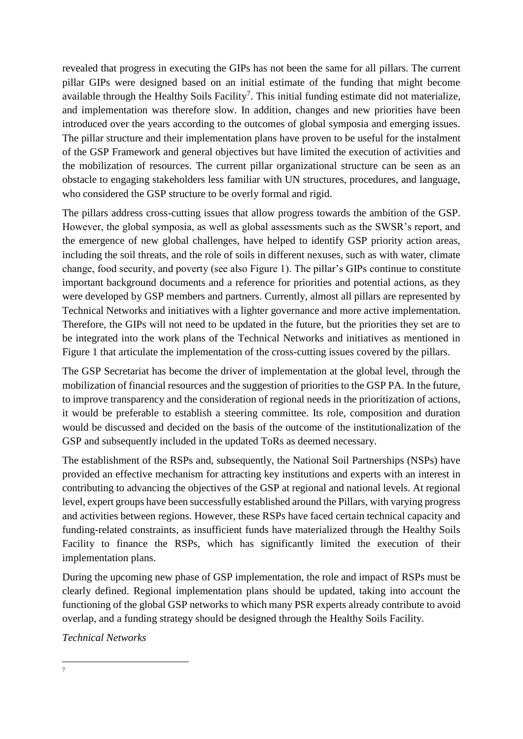revealed that progress in executing the GIPs has not been the same for all pillars. The current pillar GIPs were designed based on an initial estimate of the funding that might become available through the Healthy Soils Facility<sup>7</sup>. This initial funding estimate did not materialize, and implementation was therefore slow. In addition, changes and new priorities have been introduced over the years according to the outcomes of global symposia and emerging issues. The pillar structure and their implementation plans have proven to be useful for the instalment of the GSP Framework and general objectives but have limited the execution of activities and the mobilization of resources. The current pillar organizational structure can be seen as an obstacle to engaging stakeholders less familiar with UN structures, procedures, and language, who considered the GSP structure to be overly formal and rigid.

The pillars address cross-cutting issues that allow progress towards the ambition of the GSP. However, the global symposia, as well as global assessments such as the SWSR's report, and the emergence of new global challenges, have helped to identify GSP priority action areas, including the soil threats, and the role of soils in different nexuses, such as with water, climate change, food security, and poverty (see also Figure 1). The pillar's GIPs continue to constitute important background documents and a reference for priorities and potential actions, as they were developed by GSP members and partners. Currently, almost all pillars are represented by Technical Networks and initiatives with a lighter governance and more active implementation. Therefore, the GIPs will not need to be updated in the future, but the priorities they set are to be integrated into the work plans of the Technical Networks and initiatives as mentioned in Figure 1 that articulate the implementation of the cross-cutting issues covered by the pillars.

The GSP Secretariat has become the driver of implementation at the global level, through the mobilization of financial resources and the suggestion of priorities to the GSP PA. In the future, to improve transparency and the consideration of regional needs in the prioritization of actions, it would be preferable to establish a steering committee. Its role, composition and duration would be discussed and decided on the basis of the outcome of the institutionalization of the GSP and subsequently included in the updated ToRs as deemed necessary.

The establishment of the RSPs and, subsequently, the National Soil Partnerships (NSPs) have provided an effective mechanism for attracting key institutions and experts with an interest in contributing to advancing the objectives of the GSP at regional and national levels. At regional level, expert groups have been successfully established around the Pillars, with varying progress and activities between regions. However, these RSPs have faced certain technical capacity and funding-related constraints, as insufficient funds have materialized through the Healthy Soils Facility to finance the RSPs, which has significantly limited the execution of their implementation plans.

During the upcoming new phase of GSP implementation, the role and impact of RSPs must be clearly defined. Regional implementation plans should be updated, taking into account the functioning of the global GSP networks to which many PSR experts already contribute to avoid overlap, and a funding strategy should be designed through the Healthy Soils Facility.

*Technical Networks*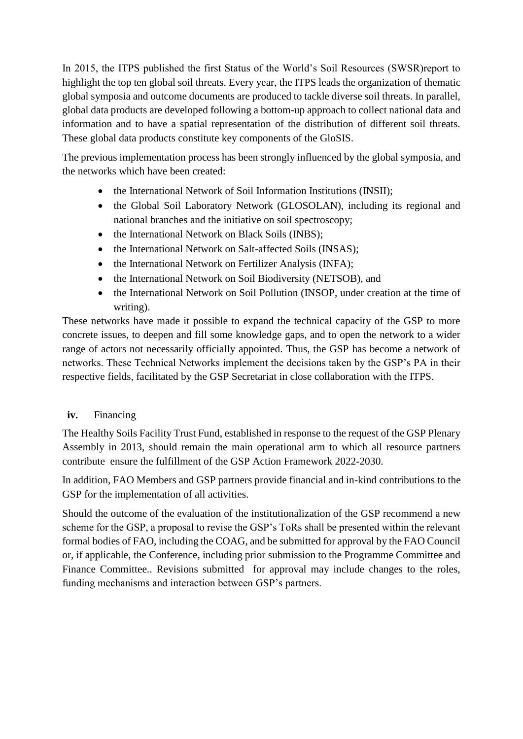In 2015, the ITPS published the first Status of the World's Soil Resources (SWSR)report to highlight the top ten global soil threats. Every year, the ITPS leads the organization of thematic global symposia and outcome documents are produced to tackle diverse soil threats. In parallel, global data products are developed following a bottom-up approach to collect national data and information and to have a spatial representation of the distribution of different soil threats. These global data products constitute key components of the GloSIS.

The previous implementation process has been strongly influenced by the global symposia, and the networks which have been created:

- the International Network of Soil Information Institutions (INSII);
- the Global Soil Laboratory Network (GLOSOLAN), including its regional and national branches and the initiative on soil spectroscopy;
- the International Network on Black Soils (INBS);
- the International Network on Salt-affected Soils (INSAS);
- the International Network on Fertilizer Analysis (INFA);
- the International Network on Soil Biodiversity (NETSOB), and
- the International Network on Soil Pollution (INSOP, under creation at the time of writing).

These networks have made it possible to expand the technical capacity of the GSP to more concrete issues, to deepen and fill some knowledge gaps, and to open the network to a wider range of actors not necessarily officially appointed. Thus, the GSP has become a network of networks. These Technical Networks implement the decisions taken by the GSP's PA in their respective fields, facilitated by the GSP Secretariat in close collaboration with the ITPS.

### <span id="page-19-0"></span>**iv.** Financing

The Healthy Soils Facility Trust Fund, established in response to the request of the GSP Plenary Assembly in 2013, should remain the main operational arm to which all resource partners contribute ensure the fulfillment of the GSP Action Framework 2022-2030.

In addition, FAO Members and GSP partners provide financial and in-kind contributions to the GSP for the implementation of all activities.

Should the outcome of the evaluation of the institutionalization of the GSP recommend a new scheme for the GSP, a proposal to revise the GSP's ToRs shall be presented within the relevant formal bodies of FAO, including the COAG, and be submitted for approval by the FAO Council or, if applicable, the Conference, including prior submission to the Programme Committee and Finance Committee.. Revisions submitted for approval may include changes to the roles, funding mechanisms and interaction between GSP's partners.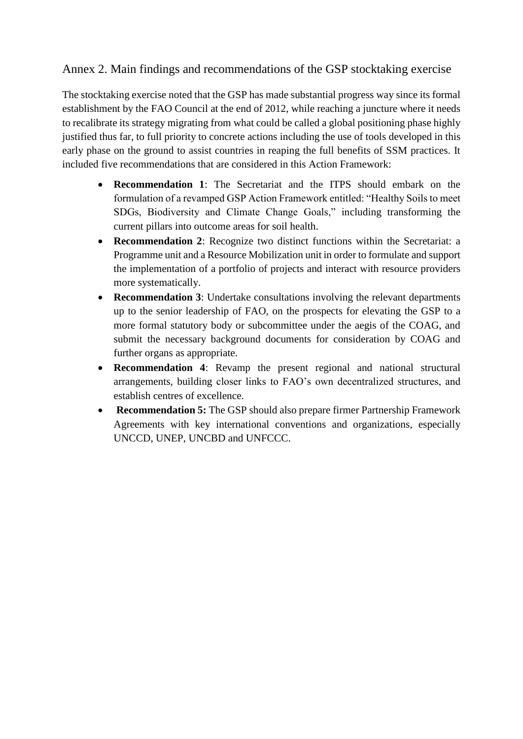# <span id="page-20-0"></span>Annex 2. Main findings and recommendations of the GSP stocktaking exercise

The stocktaking exercise noted that the GSP has made substantial progress way since its formal establishment by the FAO Council at the end of 2012, while reaching a juncture where it needs to recalibrate its strategy migrating from what could be called a global positioning phase highly justified thus far, to full priority to concrete actions including the use of tools developed in this early phase on the ground to assist countries in reaping the full benefits of SSM practices. It included five recommendations that are considered in this Action Framework:

- **Recommendation 1**: The Secretariat and the ITPS should embark on the formulation of a revamped GSP Action Framework entitled: "Healthy Soils to meet SDGs, Biodiversity and Climate Change Goals," including transforming the current pillars into outcome areas for soil health.
- **Recommendation 2**: Recognize two distinct functions within the Secretariat: a Programme unit and a Resource Mobilization unit in order to formulate and support the implementation of a portfolio of projects and interact with resource providers more systematically.
- **Recommendation 3**: Undertake consultations involving the relevant departments up to the senior leadership of FAO, on the prospects for elevating the GSP to a more formal statutory body or subcommittee under the aegis of the COAG, and submit the necessary background documents for consideration by COAG and further organs as appropriate.
- **Recommendation 4**: Revamp the present regional and national structural arrangements, building closer links to FAO's own decentralized structures, and establish centres of excellence.
- **Recommendation 5:** The GSP should also prepare firmer Partnership Framework Agreements with key international conventions and organizations, especially UNCCD, UNEP, UNCBD and UNFCCC.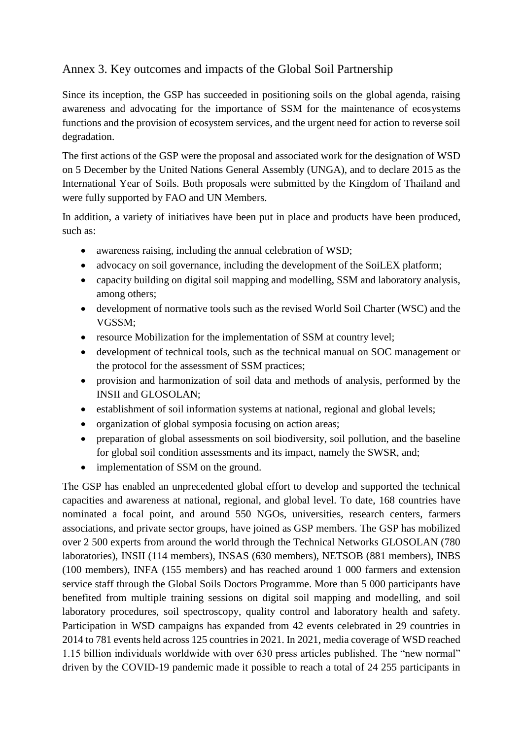# <span id="page-21-0"></span>Annex 3. Key outcomes and impacts of the Global Soil Partnership

Since its inception, the GSP has succeeded in positioning soils on the global agenda, raising awareness and advocating for the importance of SSM for the maintenance of ecosystems functions and the provision of ecosystem services, and the urgent need for action to reverse soil degradation.

The first actions of the GSP were the proposal and associated work for the designation of WSD on 5 December by the United Nations General Assembly (UNGA), and to declare 2015 as the International Year of Soils. Both proposals were submitted by the Kingdom of Thailand and were fully supported by FAO and UN Members.

In addition, a variety of initiatives have been put in place and products have been produced, such as:

- awareness raising, including the annual celebration of WSD;
- advocacy on soil governance, including the development of the SoiLEX platform;
- capacity building on digital soil mapping and modelling, SSM and laboratory analysis, among others;
- development of normative tools such as the revised World Soil Charter (WSC) and the VGSSM;
- resource Mobilization for the implementation of SSM at country level;
- development of technical tools, such as the technical manual on SOC management or the protocol for the assessment of SSM practices;
- provision and harmonization of soil data and methods of analysis, performed by the INSII and GLOSOLAN;
- establishment of soil information systems at national, regional and global levels;
- organization of global symposia focusing on action areas;
- preparation of global assessments on soil biodiversity, soil pollution, and the baseline for global soil condition assessments and its impact, namely the SWSR, and;
- implementation of SSM on the ground.

The GSP has enabled an unprecedented global effort to develop and supported the technical capacities and awareness at national, regional, and global level. To date, 168 countries have nominated a focal point, and around 550 NGOs, universities, research centers, farmers associations, and private sector groups, have joined as GSP members. The GSP has mobilized over 2 500 experts from around the world through the Technical Networks GLOSOLAN (780 laboratories), INSII (114 members), INSAS (630 members), NETSOB (881 members), INBS (100 members), INFA (155 members) and has reached around 1 000 farmers and extension service staff through the Global Soils Doctors Programme. More than 5 000 participants have benefited from multiple training sessions on digital soil mapping and modelling, and soil laboratory procedures, soil spectroscopy, quality control and laboratory health and safety. Participation in WSD campaigns has expanded from 42 events celebrated in 29 countries in 2014 to 781 events held across 125 countries in 2021. In 2021, media coverage of WSD reached 1.15 billion individuals worldwide with over 630 press articles published. The "new normal" driven by the COVID-19 pandemic made it possible to reach a total of 24 255 participants in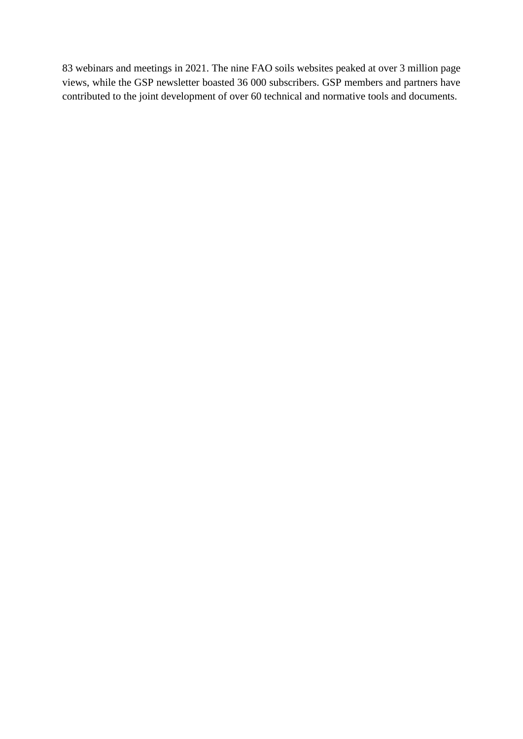83 webinars and meetings in 2021. The nine FAO soils websites peaked at over 3 million page views, while the GSP newsletter boasted 36 000 subscribers. GSP members and partners have contributed to the joint development of over 60 technical and normative tools and documents.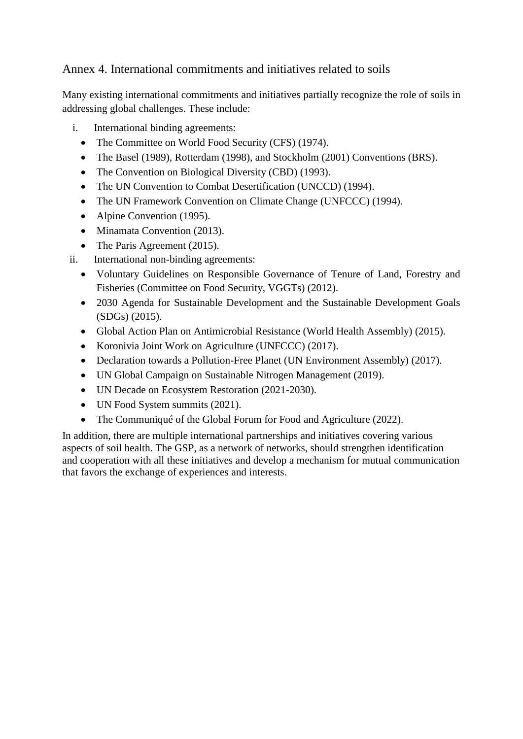# <span id="page-23-0"></span>Annex 4. International commitments and initiatives related to soils

Many existing international commitments and initiatives partially recognize the role of soils in addressing global challenges. These include:

- i. International binding agreements:
	- The Committee on World Food Security (CFS) (1974).
	- The Basel (1989), Rotterdam (1998), and Stockholm (2001) Conventions (BRS).
	- The Convention on Biological Diversity (CBD) (1993).
	- The UN Convention to Combat Desertification (UNCCD) (1994).
	- The UN Framework Convention on Climate Change (UNFCCC) (1994).
	- Alpine Convention (1995).
	- Minamata Convention (2013).
	- The Paris Agreement (2015).
- ii. International non-binding agreements:
	- Voluntary Guidelines on Responsible Governance of Tenure of Land, Forestry and Fisheries (Committee on Food Security, VGGTs) (2012).
	- 2030 Agenda for Sustainable Development and the Sustainable Development Goals (SDGs) (2015).
	- Global Action Plan on Antimicrobial Resistance (World Health Assembly) (2015).
	- Koronivia Joint Work on Agriculture (UNFCCC) (2017).
	- Declaration towards a Pollution-Free Planet (UN Environment Assembly) (2017).
	- UN Global Campaign on Sustainable Nitrogen Management (2019).
	- UN Decade on Ecosystem Restoration (2021-2030).
	- UN Food System summits (2021).
	- The Communiqué of the Global Forum for Food and Agriculture (2022).

In addition, there are multiple international partnerships and initiatives covering various aspects of soil health. The GSP, as a network of networks, should strengthen identification and cooperation with all these initiatives and develop a mechanism for mutual communication that favors the exchange of experiences and interests.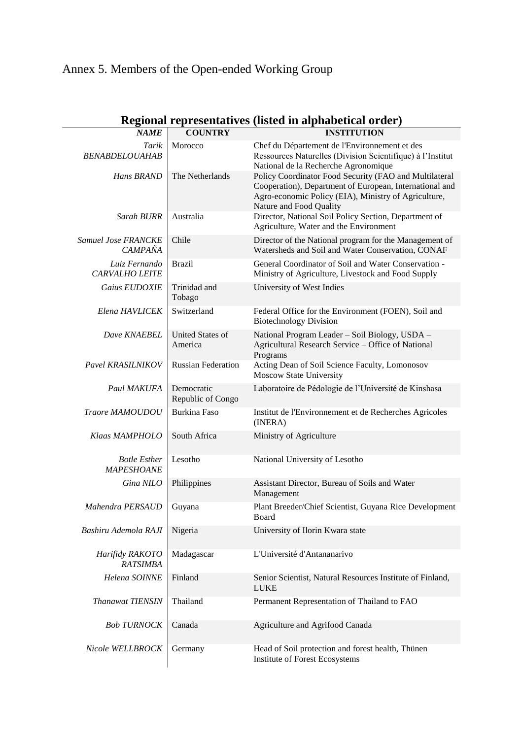# <span id="page-24-0"></span>Annex 5. Members of the Open-ended Working Group

|                                              |                                    | кединаттергезентан уез унзиса на агриаленсат от цет $\bar{y}$                                                                                                                                        |
|----------------------------------------------|------------------------------------|------------------------------------------------------------------------------------------------------------------------------------------------------------------------------------------------------|
| <b>NAME</b>                                  | <b>COUNTRY</b>                     | <b>INSTITUTION</b>                                                                                                                                                                                   |
| Tarik<br><b>BENABDELOUAHAB</b>               | Morocco                            | Chef du Département de l'Environnement et des<br>Ressources Naturelles (Division Scientifique) à l'Institut<br>National de la Recherche Agronomique                                                  |
| Hans BRAND                                   | The Netherlands                    | Policy Coordinator Food Security (FAO and Multilateral<br>Cooperation), Department of European, International and<br>Agro-economic Policy (EIA), Ministry of Agriculture,<br>Nature and Food Quality |
| Sarah BURR                                   | Australia                          | Director, National Soil Policy Section, Department of<br>Agriculture, Water and the Environment                                                                                                      |
| <b>Samuel Jose FRANCKE</b><br><b>CAMPAÑA</b> | Chile                              | Director of the National program for the Management of<br>Watersheds and Soil and Water Conservation, CONAF                                                                                          |
| Luiz Fernando<br><b>CARVALHO LEITE</b>       | <b>Brazil</b>                      | General Coordinator of Soil and Water Conservation -<br>Ministry of Agriculture, Livestock and Food Supply                                                                                           |
| Gaius EUDOXIE                                | Trinidad and<br>Tobago             | University of West Indies                                                                                                                                                                            |
| Elena HAVLICEK                               | Switzerland                        | Federal Office for the Environment (FOEN), Soil and<br><b>Biotechnology Division</b>                                                                                                                 |
| Dave KNAEBEL                                 | <b>United States of</b><br>America | National Program Leader - Soil Biology, USDA -<br>Agricultural Research Service - Office of National<br>Programs                                                                                     |
| Pavel KRASILNIKOV                            | <b>Russian Federation</b>          | Acting Dean of Soil Science Faculty, Lomonosov<br><b>Moscow State University</b>                                                                                                                     |
| Paul MAKUFA                                  | Democratic<br>Republic of Congo    | Laboratoire de Pédologie de l'Université de Kinshasa                                                                                                                                                 |
| Traore MAMOUDOU                              | <b>Burkina Faso</b>                | Institut de l'Environnement et de Recherches Agricoles<br>(INERA)                                                                                                                                    |
| Klaas MAMPHOLO                               | South Africa                       | Ministry of Agriculture                                                                                                                                                                              |
| <b>Botle Esther</b><br><b>MAPESHOANE</b>     | Lesotho                            | National University of Lesotho                                                                                                                                                                       |
| Gina NILO                                    | Philippines                        | Assistant Director, Bureau of Soils and Water<br>Management                                                                                                                                          |
| Mahendra PERSAUD                             | Guyana                             | Plant Breeder/Chief Scientist, Guyana Rice Development<br>Board                                                                                                                                      |
| Bashiru Ademola RAJI                         | Nigeria                            | University of Ilorin Kwara state                                                                                                                                                                     |
| Harifidy RAKOTO<br><b>RATSIMBA</b>           | Madagascar                         | L'Université d'Antananarivo                                                                                                                                                                          |
| Helena SOINNE                                | Finland                            | Senior Scientist, Natural Resources Institute of Finland,<br><b>LUKE</b>                                                                                                                             |
| <b>Thanawat TIENSIN</b>                      | Thailand                           | Permanent Representation of Thailand to FAO                                                                                                                                                          |
| <b>Bob TURNOCK</b>                           | Canada                             | Agriculture and Agrifood Canada                                                                                                                                                                      |
| Nicole WELLBROCK                             | Germany                            | Head of Soil protection and forest health, Thünen<br>Institute of Forest Ecosystems                                                                                                                  |

# **Regional representatives (listed in alphabetical order)**